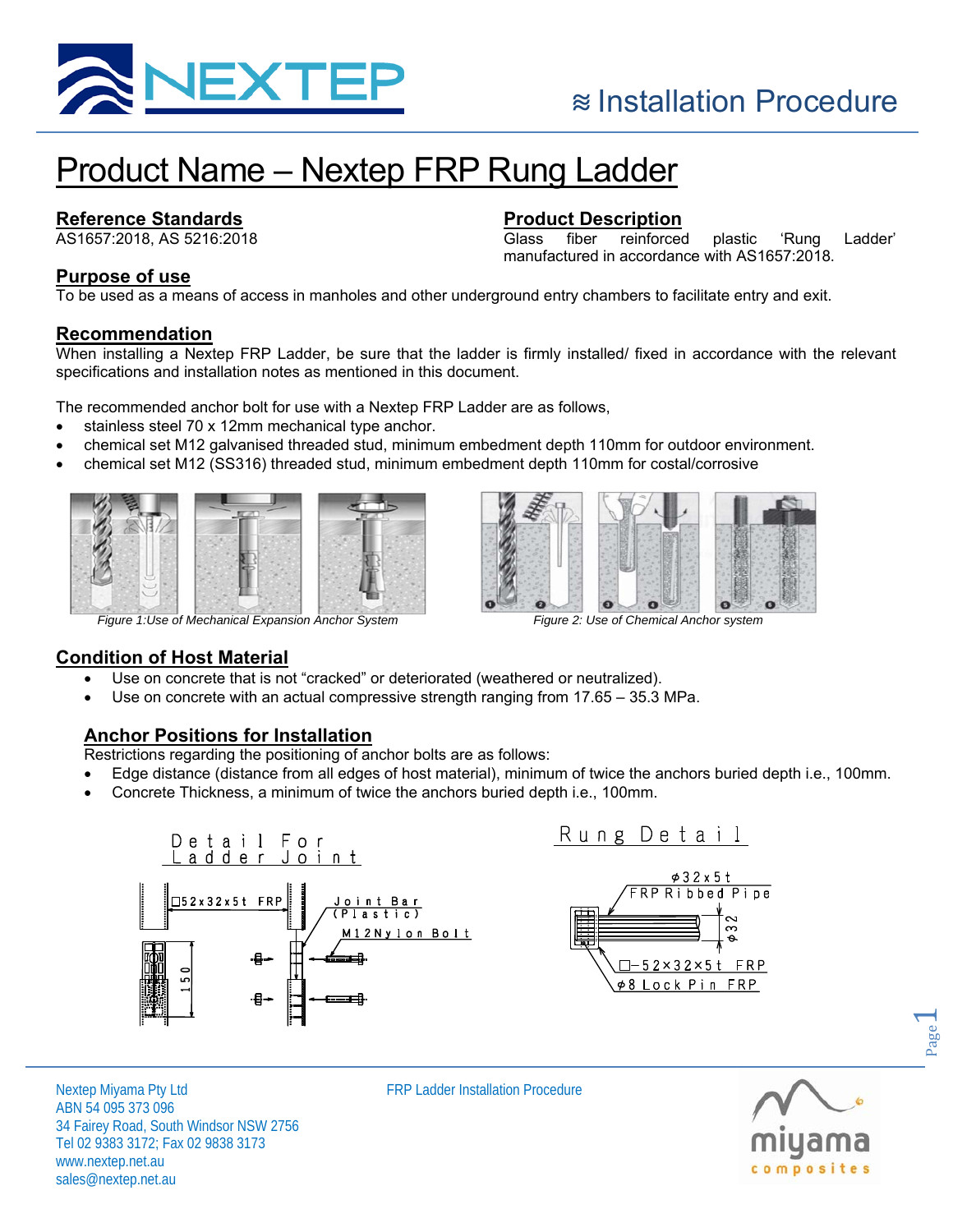

# Product Name – Nextep FRP Rung Ladder

# **Reference Standards**

AS1657:2018, AS 5216:2018

# **Product Description**

Glass fiber reinforced plastic 'Rung Ladder' manufactured in accordance with AS1657:2018.

## **Purpose of use**

To be used as a means of access in manholes and other underground entry chambers to facilitate entry and exit.

#### **Recommendation**

When installing a Nextep FRP Ladder, be sure that the ladder is firmly installed/ fixed in accordance with the relevant specifications and installation notes as mentioned in this document.

The recommended anchor bolt for use with a Nextep FRP Ladder are as follows,

- stainless steel 70 x 12mm mechanical type anchor.
- chemical set M12 galvanised threaded stud, minimum embedment depth 110mm for outdoor environment.
- chemical set M12 (SS316) threaded stud, minimum embedment depth 110mm for costal/corrosive







## **Condition of Host Material**

- Use on concrete that is not "cracked" or deteriorated (weathered or neutralized).
- Use on concrete with an actual compressive strength ranging from 17.65 35.3 MPa.

## **Anchor Positions for Installation**

Restrictions regarding the positioning of anchor bolts are as follows:

- Edge distance (distance from all edges of host material), minimum of twice the anchors buried depth i.e., 100mm.
- Concrete Thickness, a minimum of twice the anchors buried depth i.e., 100mm.



Nextep Miyama Pty Ltd **FRP Ladder Installation Procedure** ABN 54 095 373 096 34 Fairey Road, South Windsor NSW 2756 Tel 02 9383 3172; Fax 02 9838 3173 www.nextep.net.au sales@nextep.net.au



Page  $\overline{\phantom{0}}$